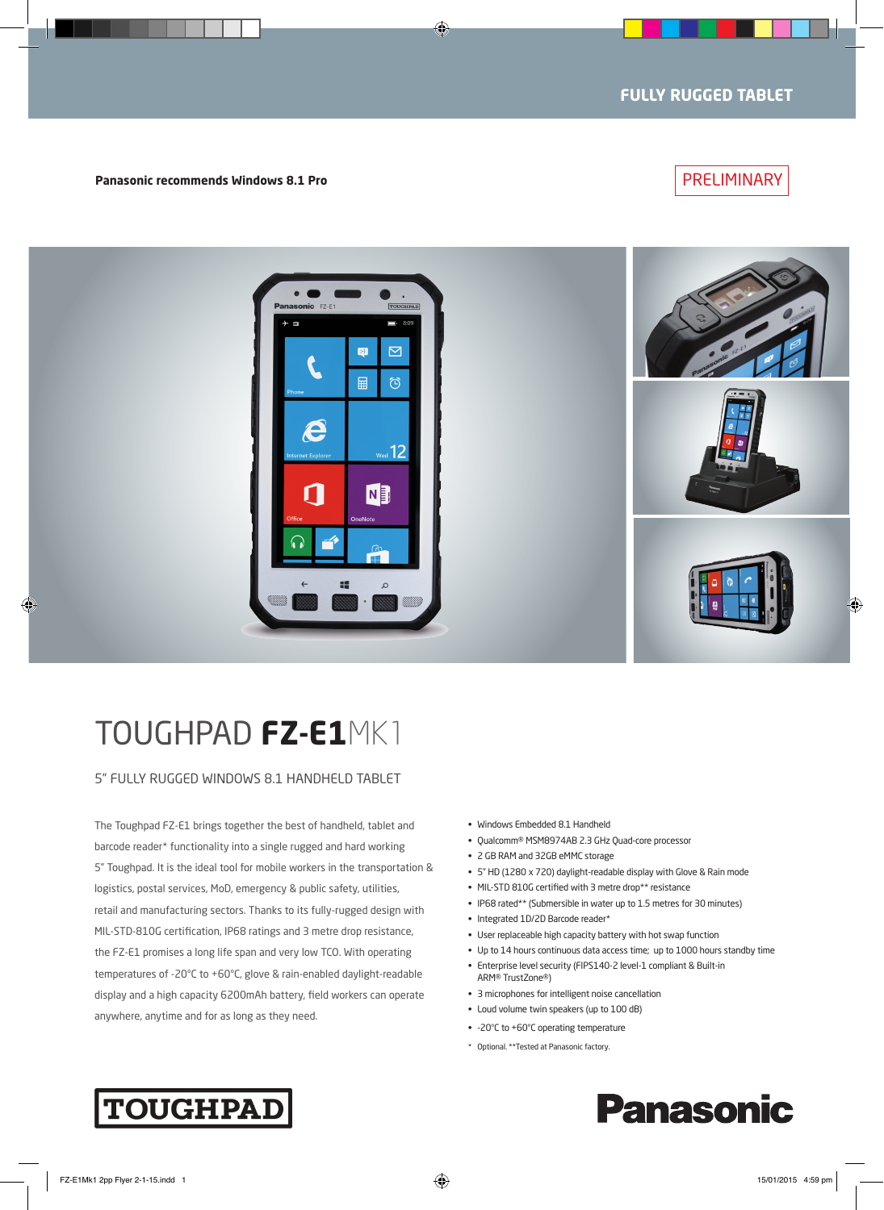### PRELIMINARY

**Panasonic recommends Windows 8.1 Pro**



## TOUGHPAD **FZ-E1**MK1

5" FULLY RUGGED WINDOWS 8.1 HANDHELD TABLET

The Toughpad FZ-E1 brings together the best of handheld, tablet and barcode reader\* functionality into a single rugged and hard working 5" Toughpad. It is the ideal tool for mobile workers in the transportation & logistics, postal services, MoD, emergency & public safety, utilities, retail and manufacturing sectors. Thanks to its fully-rugged design with MIL-STD-810G certification, IP68 ratings and 3 metre drop resistance, the FZ-E1 promises a long life span and very low TCO. With operating temperatures of -20°C to +60°C, glove & rain-enabled daylight-readable display and a high capacity 6200mAh battery, field workers can operate anywhere, anytime and for as long as they need.

- • Windows Embedded 8.1 Handheld
- Qualcomm® MSM8974AB 2.3 GHz Quad-core processor
- • 2 GB RAM and 32GB eMMC storage
- • 5" HD (1280 x 720) daylight-readable display with Glove & Rain mode
- MIL-STD 810G certified with 3 metre drop\*\* resistance
- IP68 rated\*\* (Submersible in water up to 1.5 metres for 30 minutes)
- Integrated 1D/2D Barcode reader\*
- User replaceable high capacity battery with hot swap function
- Up to 14 hours continuous data access time; up to 1000 hours standby time

**Panasonic** 

- Enterprise level security (FIPS140-2 level-1 compliant & Built-in ARM® TrustZone®)
- 3 microphones for intelligent noise cancellation
- Loud volume twin speakers (up to 100 dB)
- • -20°C to +60°C operating temperature
- \* Optional. \*\*Tested at Panasonic factory.